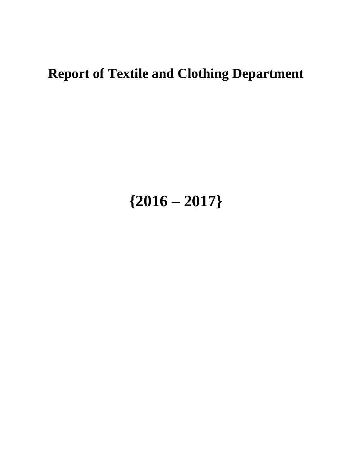## **Report of Textile and Clothing Department**

## **{2016 – 2017}**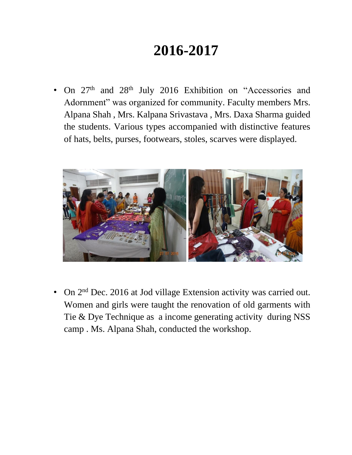## **2016-2017**

On 27<sup>th</sup> and 28<sup>th</sup> July 2016 Exhibition on "Accessories and Adornment" was organized for community. Faculty members Mrs. Alpana Shah , Mrs. Kalpana Srivastava , Mrs. Daxa Sharma guided the students. Various types accompanied with distinctive features of hats, belts, purses, footwears, stoles, scarves were displayed.



• On 2<sup>nd</sup> Dec. 2016 at Jod village Extension activity was carried out. Women and girls were taught the renovation of old garments with Tie & Dye Technique as a income generating activity during NSS camp . Ms. Alpana Shah, conducted the workshop.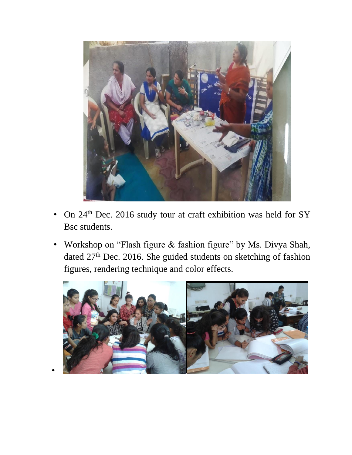

- On 24<sup>th</sup> Dec. 2016 study tour at craft exhibition was held for SY Bsc students.
- Workshop on "Flash figure & fashion figure" by Ms. Divya Shah, dated 27<sup>th</sup> Dec. 2016. She guided students on sketching of fashion figures, rendering technique and color effects.